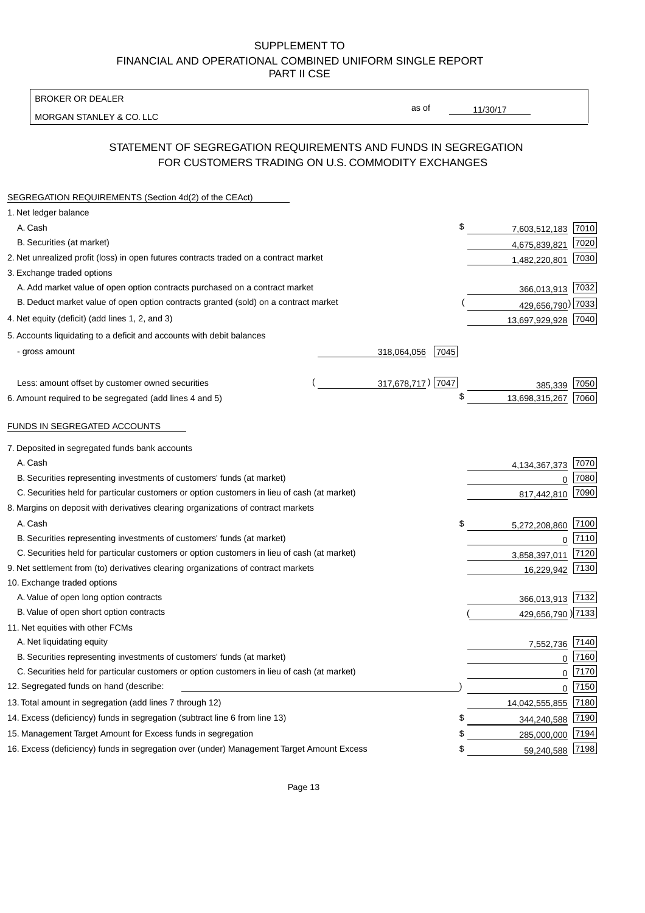BROKER OR DEALER

MORGAN STANLEY & CO. LLC

11/30/17

as of

# STATEMENT OF SEGREGATION REQUIREMENTS AND FUNDS IN SEGREGATION FOR CUSTOMERS TRADING ON U.S. COMMODITY EXCHANGES

| SEGREGATION REQUIREMENTS (Section 4d(2) of the CEAct)                                       |                     |                   |        |
|---------------------------------------------------------------------------------------------|---------------------|-------------------|--------|
| 1. Net ledger balance                                                                       |                     |                   |        |
| A. Cash                                                                                     | \$                  | 7,603,512,183     | 7010   |
| B. Securities (at market)                                                                   |                     | 4,675,839,821     | 7020   |
| 2. Net unrealized profit (loss) in open futures contracts traded on a contract market       |                     | 1,482,220,801     | 7030   |
| 3. Exchange traded options                                                                  |                     |                   |        |
| A. Add market value of open option contracts purchased on a contract market                 |                     | 366,013,913 7032  |        |
| B. Deduct market value of open option contracts granted (sold) on a contract market         |                     | 429,656,790) 7033 |        |
| 4. Net equity (deficit) (add lines 1, 2, and 3)                                             |                     | 13,697,929,928    | 7040   |
| 5. Accounts liquidating to a deficit and accounts with debit balances                       |                     |                   |        |
| - gross amount                                                                              | 318,064,056<br>7045 |                   |        |
|                                                                                             |                     |                   |        |
| Less: amount offset by customer owned securities                                            | 317,678,717) 7047   | 385,339           | 7050   |
| 6. Amount required to be segregated (add lines 4 and 5)                                     | \$                  | 13,698,315,267    | 7060   |
|                                                                                             |                     |                   |        |
| FUNDS IN SEGREGATED ACCOUNTS                                                                |                     |                   |        |
| 7. Deposited in segregated funds bank accounts                                              |                     |                   |        |
| A. Cash                                                                                     |                     | 4, 134, 367, 373  | 7070   |
| B. Securities representing investments of customers' funds (at market)                      |                     | 0                 | 7080   |
| C. Securities held for particular customers or option customers in lieu of cash (at market) |                     | 817,442,810       | 7090   |
| 8. Margins on deposit with derivatives clearing organizations of contract markets           |                     |                   |        |
| A. Cash                                                                                     | \$                  | 5,272,208,860     | 7100   |
| B. Securities representing investments of customers' funds (at market)                      |                     | $\mathbf 0$       | 7110   |
| C. Securities held for particular customers or option customers in lieu of cash (at market) |                     | 3,858,397,011     | 7120   |
| 9. Net settlement from (to) derivatives clearing organizations of contract markets          |                     | 16,229,942        | 7130   |
| 10. Exchange traded options                                                                 |                     |                   |        |
| A. Value of open long option contracts                                                      |                     | 366,013,913       | 7132   |
| B. Value of open short option contracts                                                     |                     | 429,656,790 )7133 |        |
| 11. Net equities with other FCMs                                                            |                     |                   |        |
| A. Net liquidating equity                                                                   |                     | 7,552,736         | 7140   |
| B. Securities representing investments of customers' funds (at market)                      |                     | $\mathbf 0$       | 7160   |
| C. Securities held for particular customers or option customers in lieu of cash (at market) |                     | 0                 | 7170   |
| 12. Segregated funds on hand (describe:                                                     |                     | $\mathbf 0$       | $7150$ |
| 13. Total amount in segregation (add lines 7 through 12)                                    |                     | 14,042,555,855    | 7180   |
| 14. Excess (deficiency) funds in segregation (subtract line 6 from line 13)                 | S                   | 344,240,588       | 7190   |
| 15. Management Target Amount for Excess funds in segregation                                | \$                  | 285,000,000       | 7194   |
| 16. Excess (deficiency) funds in segregation over (under) Management Target Amount Excess   | \$                  | 59,240,588        | 7198   |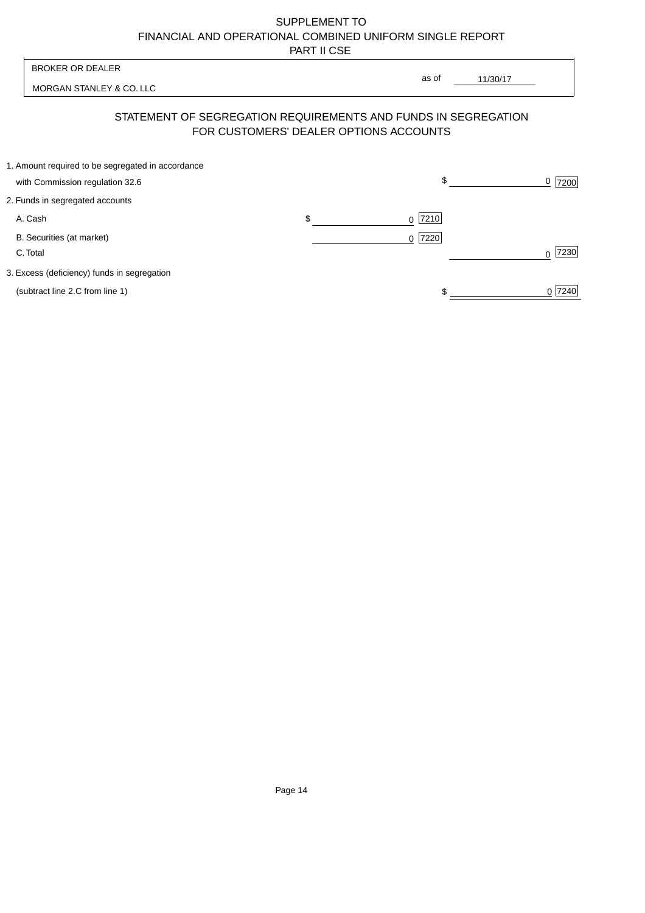MORGAN STANLEY & CO. LLC

11/30/17  $\overline{\phantom{a}}$ 

as of

# STATEMENT OF SEGREGATION REQUIREMENTS AND FUNDS IN SEGREGATION FOR CUSTOMERS' DEALER OPTIONS ACCOUNTS

| 1. Amount required to be segregated in accordance |           |        |
|---------------------------------------------------|-----------|--------|
| with Commission regulation 32.6                   | \$        | 7200   |
| 2. Funds in segregated accounts                   |           |        |
| A. Cash                                           | $0$  7210 |        |
| B. Securities (at market)                         | $0$  7220 |        |
| C. Total                                          |           | 7230   |
| 3. Excess (deficiency) funds in segregation       |           |        |
| (subtract line 2.C from line 1)                   |           | 0 7240 |
|                                                   |           |        |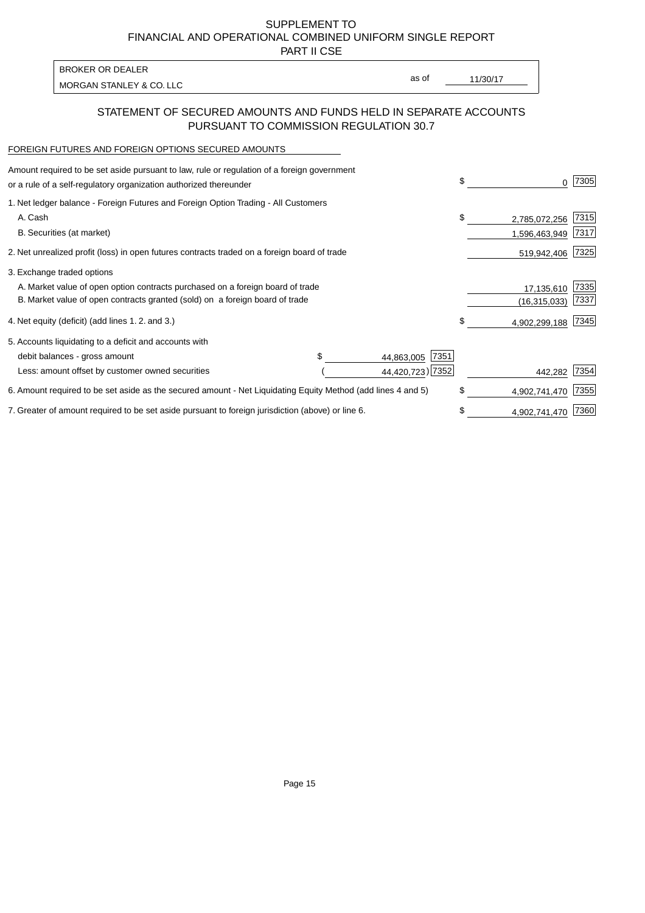PART II CSE

| <b>BROKER OR DEALER</b>  |       |          |
|--------------------------|-------|----------|
| MORGAN STANLEY & CO. LLC | as of | 11/30/17 |
|                          |       |          |

## STATEMENT OF SECURED AMOUNTS AND FUNDS HELD IN SEPARATE ACCOUNTS PURSUANT TO COMMISSION REGULATION 30.7

#### FOREIGN FUTURES AND FOREIGN OPTIONS SECURED AMOUNTS

| Amount required to be set aside pursuant to law, rule or regulation of a foreign government<br>or a rule of a self-regulatory organization authorized thereunder |  |                    | \$ | O.             | 7305 |
|------------------------------------------------------------------------------------------------------------------------------------------------------------------|--|--------------------|----|----------------|------|
| 1. Net ledger balance - Foreign Futures and Foreign Option Trading - All Customers                                                                               |  |                    |    |                |      |
| A. Cash                                                                                                                                                          |  |                    | \$ | 2,785,072,256  | 7315 |
| B. Securities (at market)                                                                                                                                        |  |                    |    | 1,596,463,949  | 7317 |
| 2. Net unrealized profit (loss) in open futures contracts traded on a foreign board of trade                                                                     |  |                    |    | 519,942,406    | 7325 |
| 3. Exchange traded options                                                                                                                                       |  |                    |    |                |      |
| A. Market value of open option contracts purchased on a foreign board of trade                                                                                   |  |                    |    | 17,135,610     | 7335 |
| B. Market value of open contracts granted (sold) on a foreign board of trade                                                                                     |  |                    |    | (16, 315, 033) | 7337 |
| 4. Net equity (deficit) (add lines 1.2. and 3.)                                                                                                                  |  |                    | \$ | 4,902,299,188  | 7345 |
| 5. Accounts liquidating to a deficit and accounts with                                                                                                           |  |                    |    |                |      |
| debit balances - gross amount                                                                                                                                    |  | 7351<br>44,863,005 |    |                |      |
| Less: amount offset by customer owned securities                                                                                                                 |  | 44,420,723) 7352   |    | 442,282        | 7354 |
| 6. Amount required to be set aside as the secured amount - Net Liquidating Equity Method (add lines 4 and 5)                                                     |  |                    | \$ | 4,902,741,470  | 7355 |
| 7. Greater of amount required to be set aside pursuant to foreign jurisdiction (above) or line 6.                                                                |  |                    | \$ | 4,902,741,470  | 7360 |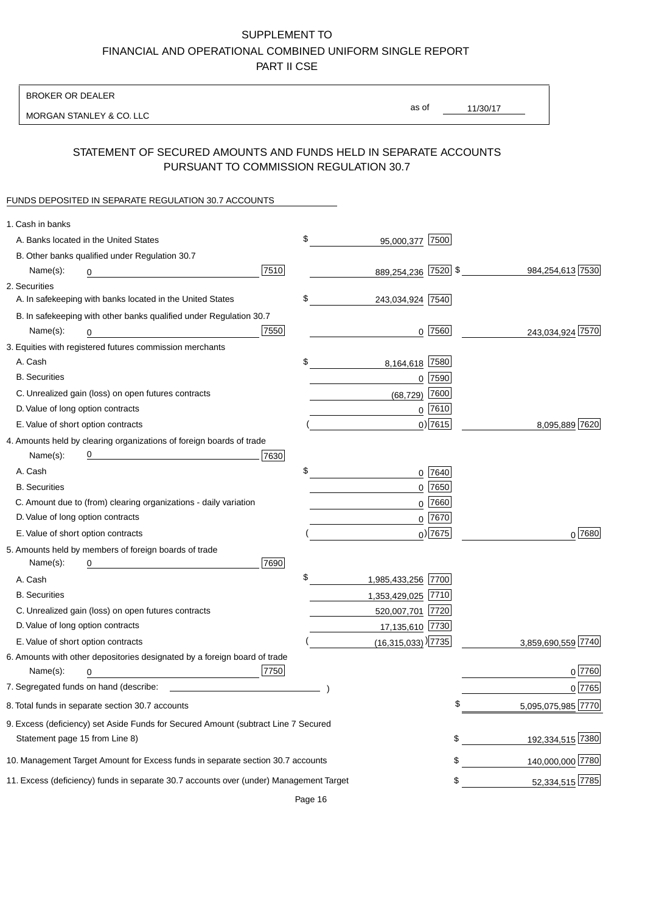BROKER OR DEALER

MORGAN STANLEY & CO. LLC

11/30/17 as of

## STATEMENT OF SECURED AMOUNTS AND FUNDS HELD IN SEPARATE ACCOUNTS PURSUANT TO COMMISSION REGULATION 30.7

### FUNDS DEPOSITED IN SEPARATE REGULATION 30.7 ACCOUNTS

| 1. Cash in banks                   |                                                                                        |      |                                    |             |                    |
|------------------------------------|----------------------------------------------------------------------------------------|------|------------------------------------|-------------|--------------------|
|                                    | A. Banks located in the United States                                                  |      | \$<br>95,000,377                   | 7500        |                    |
|                                    | B. Other banks qualified under Regulation 30.7                                         |      |                                    |             |                    |
| Name(s):                           | 0                                                                                      | 7510 | 889,254,236 7520 \$                |             | 984,254,613 7530   |
| 2. Securities                      |                                                                                        |      |                                    |             |                    |
|                                    | A. In safekeeping with banks located in the United States                              |      | \$<br>243,034,924 7540             |             |                    |
|                                    | B. In safekeeping with other banks qualified under Regulation 30.7                     |      |                                    |             |                    |
| Name(s):                           | 0                                                                                      | 7550 |                                    | $0$  7560   | 243,034,924 7570   |
|                                    | 3. Equities with registered futures commission merchants                               |      |                                    |             |                    |
| A. Cash                            |                                                                                        |      | \$<br>8,164,618                    | 7580        |                    |
| <b>B.</b> Securities               |                                                                                        |      |                                    | $0$ 7590    |                    |
|                                    | C. Unrealized gain (loss) on open futures contracts                                    |      | (68, 729)                          | 7600        |                    |
| D. Value of long option contracts  |                                                                                        |      |                                    | $0$ 7610    |                    |
| E. Value of short option contracts |                                                                                        |      |                                    | $0)$ 7615   | 8,095,889 7620     |
|                                    | 4. Amounts held by clearing organizations of foreign boards of trade                   |      |                                    |             |                    |
| Name(s):                           |                                                                                        | 7630 |                                    |             |                    |
| A. Cash                            |                                                                                        |      | \$                                 | 0 7640      |                    |
| <b>B.</b> Securities               |                                                                                        |      |                                    | $0$ 7650    |                    |
|                                    | C. Amount due to (from) clearing organizations - daily variation                       |      | 0                                  | 7660        |                    |
| D. Value of long option contracts  |                                                                                        |      |                                    | 0 7670      |                    |
| E. Value of short option contracts |                                                                                        |      |                                    | $_0$ ) 7675 | 0 7680             |
|                                    | 5. Amounts held by members of foreign boards of trade                                  |      |                                    |             |                    |
| Name(s):                           | 0                                                                                      | 7690 |                                    |             |                    |
| A. Cash                            |                                                                                        |      | \$<br>1,985,433,256 7700           |             |                    |
| <b>B.</b> Securities               |                                                                                        |      | 1,353,429,025 7710                 |             |                    |
|                                    | C. Unrealized gain (loss) on open futures contracts                                    |      | 520,007,701 7720                   |             |                    |
| D. Value of long option contracts  |                                                                                        |      | 17,135,610 7730                    |             |                    |
| E. Value of short option contracts |                                                                                        |      | $(16,315,033)$ <sup>)</sup> $7735$ |             | 3,859,690,559 7740 |
|                                    | 6. Amounts with other depositories designated by a foreign board of trade              |      |                                    |             |                    |
| Name(s):                           | 0                                                                                      | 7750 |                                    |             | 0 7760             |
|                                    |                                                                                        |      |                                    |             | 0 7765             |
|                                    | 8. Total funds in separate section 30.7 accounts                                       |      |                                    |             | 5,095,075,985 7770 |
|                                    | 9. Excess (deficiency) set Aside Funds for Secured Amount (subtract Line 7 Secured     |      |                                    |             |                    |
| Statement page 15 from Line 8)     |                                                                                        |      |                                    | \$          | 192,334,515 7380   |
|                                    | 10. Management Target Amount for Excess funds in separate section 30.7 accounts        |      |                                    | \$          | 140,000,000 7780   |
|                                    | 11. Excess (deficiency) funds in separate 30.7 accounts over (under) Management Target |      |                                    | \$          | 52,334,515 7785    |
|                                    |                                                                                        |      |                                    |             |                    |